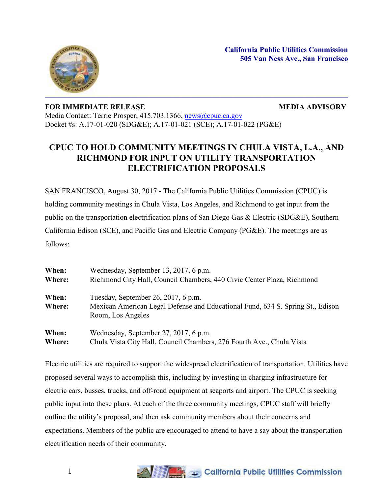

## **FOR IMMEDIATE RELEASE MEDIA ADVISORY**

Media Contact: Terrie Prosper, 415.703.1366, [news@cpuc.ca.gov](mailto:news@cpuc.ca.gov) Docket #s: A.17-01-020 (SDG&E); A.17-01-021 (SCE); A.17-01-022 (PG&E)

## **CPUC TO HOLD COMMUNITY MEETINGS IN CHULA VISTA, L.A., AND RICHMOND FOR INPUT ON UTILITY TRANSPORTATION ELECTRIFICATION PROPOSALS**

SAN FRANCISCO, August 30, 2017 - The California Public Utilities Commission (CPUC) is holding community meetings in Chula Vista, Los Angeles, and Richmond to get input from the public on the transportation electrification plans of San Diego Gas & Electric (SDG&E), Southern California Edison (SCE), and Pacific Gas and Electric Company (PG&E). The meetings are as follows:

| When:<br>Where: | Wednesday, September 13, 2017, 6 p.m.<br>Richmond City Hall, Council Chambers, 440 Civic Center Plaza, Richmond |
|-----------------|-----------------------------------------------------------------------------------------------------------------|
|                 |                                                                                                                 |
| Where:          | Mexican American Legal Defense and Educational Fund, 634 S. Spring St., Edison                                  |
|                 | Room, Los Angeles                                                                                               |
| When:           | Wednesday, September 27, 2017, 6 p.m.                                                                           |
| Where:          | Chula Vista City Hall, Council Chambers, 276 Fourth Ave., Chula Vista                                           |

Electric utilities are required to support the widespread electrification of transportation. Utilities have proposed several ways to accomplish this, including by investing in charging infrastructure for electric cars, busses, trucks, and off-road equipment at seaports and airport. The CPUC is seeking public input into these plans. At each of the three community meetings, CPUC staff will briefly outline the utility's proposal, and then ask community members about their concerns and expectations. Members of the public are encouraged to attend to have a say about the transportation electrification needs of their community.

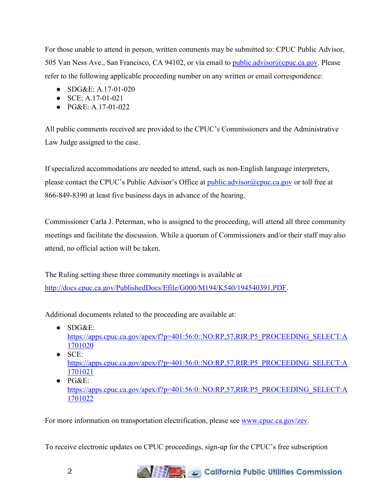For those unable to attend in person, written comments may be submitted to: CPUC Public Advisor, 505 Van Ness Ave., San Francisco, CA 94102, or via email to [public.advisor@cpuc.ca.gov.](mailto:public.advisor@cpuc.ca.gov) Please refer to the following applicable proceeding number on any written or email correspondence:

- SDG&E: A.17-01-020
- SCE: A.17-01-021
- PG&E: A.17-01-022

All public comments received are provided to the CPUC's Commissioners and the Administrative Law Judge assigned to the case.

If specialized accommodations are needed to attend, such as non-English language interpreters, please contact the CPUC's Public Advisor's Office at public advisor@cpuc.ca.gov or toll free at 866-849-8390 at least five business days in advance of the hearing.

Commissioner Carla J. Peterman, who is assigned to the proceeding, will attend all three community meetings and facilitate the discussion. While a quorum of Commissioners and/or their staff may also attend, no official action will be taken.

The Ruling setting these three community meetings is available at [http://docs.cpuc.ca.gov/PublishedDocs/Efile/G000/M194/K540/194540391.PDF.](http://docs.cpuc.ca.gov/PublishedDocs/Efile/G000/M194/K540/194540391.PDF)

Additional documents related to the proceeding are available at:

- $\bullet$  SDG&E: [https://apps.cpuc.ca.gov/apex/f?p=401:56:0::NO:RP,57,RIR:P5\\_PROCEEDING\\_SELECT:A](https://apps.cpuc.ca.gov/apex/f?p=401:56:0::NO:RP,57,RIR:P5_PROCEEDING_SELECT:A1701020) [1701020](https://apps.cpuc.ca.gov/apex/f?p=401:56:0::NO:RP,57,RIR:P5_PROCEEDING_SELECT:A1701020)
- $\bullet$  SCE: [https://apps.cpuc.ca.gov/apex/f?p=401:56:0::NO:RP,57,RIR:P5\\_PROCEEDING\\_SELECT:A](https://apps.cpuc.ca.gov/apex/f?p=401:56:0::NO:RP,57,RIR:P5_PROCEEDING_SELECT:A1701021) [1701021](https://apps.cpuc.ca.gov/apex/f?p=401:56:0::NO:RP,57,RIR:P5_PROCEEDING_SELECT:A1701021)
- $\bullet$  PG&E: [https://apps.cpuc.ca.gov/apex/f?p=401:56:0::NO:RP,57,RIR:P5\\_PROCEEDING\\_SELECT:A](https://apps.cpuc.ca.gov/apex/f?p=401:56:0::NO:RP,57,RIR:P5_PROCEEDING_SELECT:A1701022) [1701022](https://apps.cpuc.ca.gov/apex/f?p=401:56:0::NO:RP,57,RIR:P5_PROCEEDING_SELECT:A1701022)

For more information on transportation electrification, please see [www.cpuc.ca.gov/zev.](http://www.cpuc.ca.gov/zev)

To receive electronic updates on CPUC proceedings, sign-up for the CPUC's free subscription